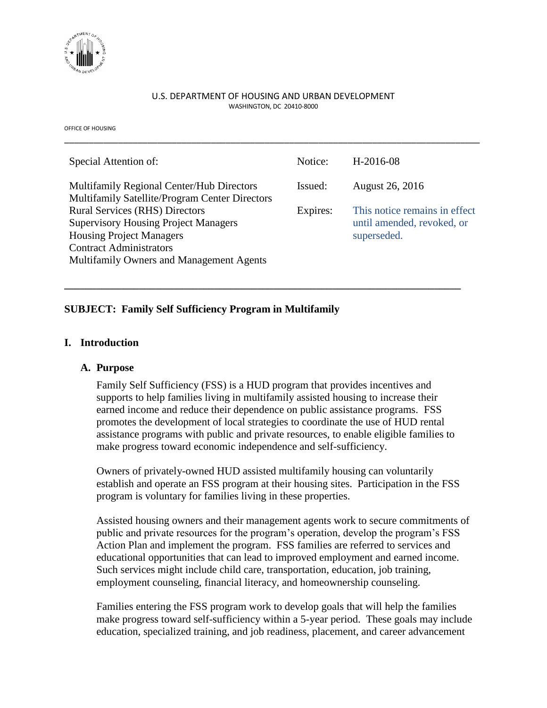

#### U.S. DEPARTMENT OF HOUSING AND URBAN DEVELOPMENT WASHINGTON, DC 20410-8000

\_\_\_\_\_\_\_\_\_\_\_\_\_\_\_\_\_\_\_\_\_\_\_\_\_\_\_\_\_\_\_\_\_\_\_\_\_\_\_\_\_\_\_\_\_\_\_\_\_\_\_\_\_\_\_\_\_\_\_\_\_\_\_\_\_\_\_\_\_\_\_\_\_\_\_\_\_\_\_\_\_\_\_\_\_

OFFICE OF HOUSING

| Special Attention of:                                                                   | Notice:  | H-2016-08                                 |
|-----------------------------------------------------------------------------------------|----------|-------------------------------------------|
| Multifamily Regional Center/Hub Directors                                               | Issued:  | August 26, 2016                           |
| Multifamily Satellite/Program Center Directors<br><b>Rural Services (RHS) Directors</b> | Expires: | This notice remains in effect             |
| <b>Supervisory Housing Project Managers</b><br><b>Housing Project Managers</b>          |          | until amended, revoked, or<br>superseded. |
| <b>Contract Administrators</b>                                                          |          |                                           |
| Multifamily Owners and Management Agents                                                |          |                                           |

**\_\_\_\_\_\_\_\_\_\_\_\_\_\_\_\_\_\_\_\_\_\_\_\_\_\_\_\_\_\_\_\_\_\_\_\_\_\_\_\_\_\_\_\_\_\_\_\_\_\_\_\_\_\_\_\_\_\_\_\_\_\_\_\_\_\_\_\_\_\_\_\_\_\_**

## **SUBJECT: Family Self Sufficiency Program in Multifamily**

#### **I. Introduction**

#### **A. Purpose**

Family Self Sufficiency (FSS) is a HUD program that provides incentives and supports to help families living in multifamily assisted housing to increase their earned income and reduce their dependence on public assistance programs. FSS promotes the development of local strategies to coordinate the use of HUD rental assistance programs with public and private resources, to enable eligible families to make progress toward economic independence and self-sufficiency.

Owners of privately-owned HUD assisted multifamily housing can voluntarily establish and operate an FSS program at their housing sites. Participation in the FSS program is voluntary for families living in these properties.

Assisted housing owners and their management agents work to secure commitments of public and private resources for the program's operation, develop the program's FSS Action Plan and implement the program. FSS families are referred to services and educational opportunities that can lead to improved employment and earned income. Such services might include child care, transportation, education, job training, employment counseling, financial literacy, and homeownership counseling.

Families entering the FSS program work to develop goals that will help the families make progress toward self-sufficiency within a 5-year period. These goals may include education, specialized training, and job readiness, placement, and career advancement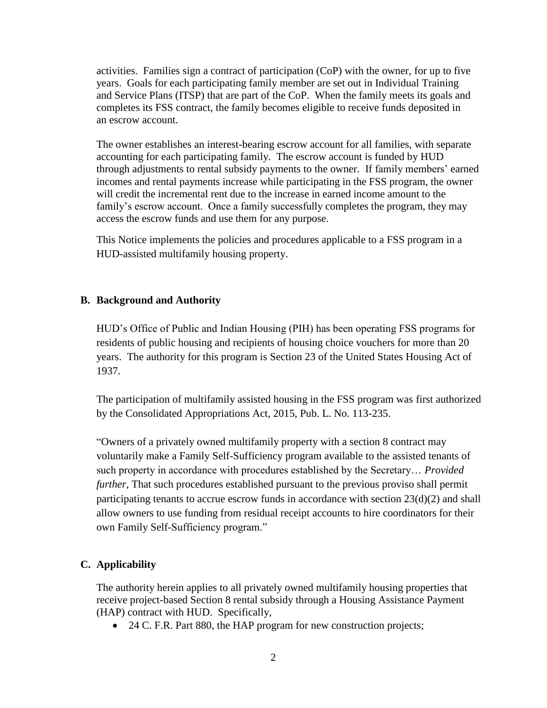activities. Families sign a contract of participation (CoP) with the owner, for up to five years. Goals for each participating family member are set out in Individual Training and Service Plans (ITSP) that are part of the CoP. When the family meets its goals and completes its FSS contract, the family becomes eligible to receive funds deposited in an escrow account.

The owner establishes an interest-bearing escrow account for all families, with separate accounting for each participating family. The escrow account is funded by HUD through adjustments to rental subsidy payments to the owner. If family members' earned incomes and rental payments increase while participating in the FSS program, the owner will credit the incremental rent due to the increase in earned income amount to the family's escrow account. Once a family successfully completes the program, they may access the escrow funds and use them for any purpose.

This Notice implements the policies and procedures applicable to a FSS program in a HUD-assisted multifamily housing property.

#### **B. Background and Authority**

HUD's Office of Public and Indian Housing (PIH) has been operating FSS programs for residents of public housing and recipients of housing choice vouchers for more than 20 years. The authority for this program is Section 23 of the United States Housing Act of 1937.

The participation of multifamily assisted housing in the FSS program was first authorized by the Consolidated Appropriations Act, 2015, Pub. L. No. 113-235.

"Owners of a privately owned multifamily property with a section 8 contract may voluntarily make a Family Self-Sufficiency program available to the assisted tenants of such property in accordance with procedures established by the Secretary… *Provided further*, That such procedures established pursuant to the previous proviso shall permit participating tenants to accrue escrow funds in accordance with section 23(d)(2) and shall allow owners to use funding from residual receipt accounts to hire coordinators for their own Family Self-Sufficiency program."

### **C. Applicability**

The authority herein applies to all privately owned multifamily housing properties that receive project-based Section 8 rental subsidy through a Housing Assistance Payment (HAP) contract with HUD. Specifically,

• 24 C. F.R. Part 880, the HAP program for new construction projects;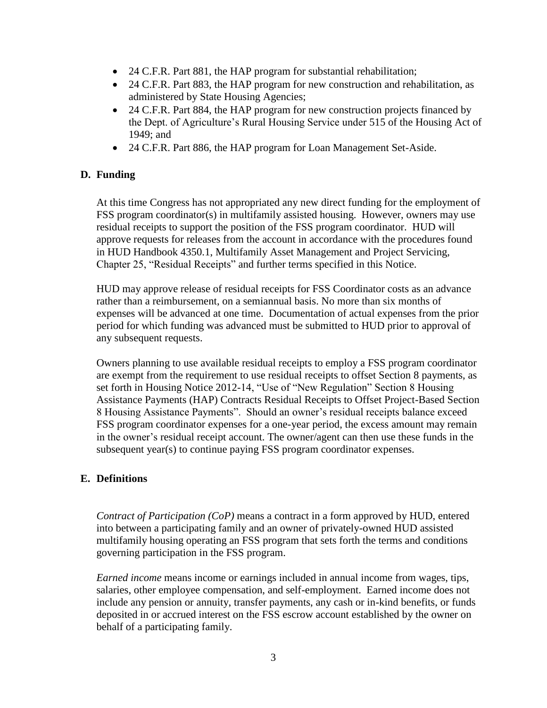- 24 C.F.R. Part 881, the HAP program for substantial rehabilitation;
- 24 C.F.R. Part 883, the HAP program for new construction and rehabilitation, as administered by State Housing Agencies;
- 24 C.F.R. Part 884, the HAP program for new construction projects financed by the Dept. of Agriculture's Rural Housing Service under 515 of the Housing Act of 1949; and
- 24 C.F.R. Part 886, the HAP program for Loan Management Set-Aside.

## **D. Funding**

At this time Congress has not appropriated any new direct funding for the employment of FSS program coordinator(s) in multifamily assisted housing. However, owners may use residual receipts to support the position of the FSS program coordinator. HUD will approve requests for releases from the account in accordance with the procedures found in HUD Handbook 4350.1, Multifamily Asset Management and Project Servicing, Chapter 25, "Residual Receipts" and further terms specified in this Notice.

HUD may approve release of residual receipts for FSS Coordinator costs as an advance rather than a reimbursement, on a semiannual basis. No more than six months of expenses will be advanced at one time. Documentation of actual expenses from the prior period for which funding was advanced must be submitted to HUD prior to approval of any subsequent requests.

Owners planning to use available residual receipts to employ a FSS program coordinator are exempt from the requirement to use residual receipts to offset Section 8 payments, as set forth in Housing Notice 2012-14, "Use of "New Regulation" Section 8 Housing Assistance Payments (HAP) Contracts Residual Receipts to Offset Project-Based Section 8 Housing Assistance Payments". Should an owner's residual receipts balance exceed FSS program coordinator expenses for a one-year period, the excess amount may remain in the owner's residual receipt account. The owner/agent can then use these funds in the subsequent year(s) to continue paying FSS program coordinator expenses.

## **E. Definitions**

*Contract of Participation (CoP)* means a contract in a form approved by HUD, entered into between a participating family and an owner of privately-owned HUD assisted multifamily housing operating an FSS program that sets forth the terms and conditions governing participation in the FSS program.

*Earned income* means income or earnings included in annual income from wages, tips, salaries, other employee compensation, and self-employment. Earned income does not include any pension or annuity, transfer payments, any cash or in-kind benefits, or funds deposited in or accrued interest on the FSS escrow account established by the owner on behalf of a participating family.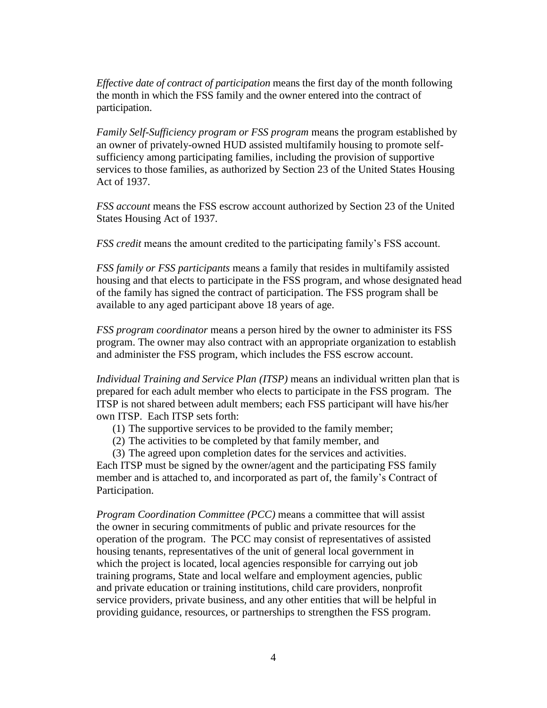*Effective date of contract of participation* means the first day of the month following the month in which the FSS family and the owner entered into the contract of participation.

*Family Self-Sufficiency program or FSS program* means the program established by an owner of privately-owned HUD assisted multifamily housing to promote selfsufficiency among participating families, including the provision of supportive services to those families, as authorized by Section 23 of the United States Housing Act of 1937.

*FSS account* means the FSS escrow account authorized by Section 23 of the United States Housing Act of 1937.

*FSS credit* means the amount credited to the participating family's FSS account.

*FSS family or FSS participants* means a family that resides in multifamily assisted housing and that elects to participate in the FSS program, and whose designated head of the family has signed the contract of participation. The FSS program shall be available to any aged participant above 18 years of age.

*FSS program coordinator* means a person hired by the owner to administer its FSS program. The owner may also contract with an appropriate organization to establish and administer the FSS program, which includes the FSS escrow account.

*Individual Training and Service Plan (ITSP)* means an individual written plan that is prepared for each adult member who elects to participate in the FSS program. The ITSP is not shared between adult members; each FSS participant will have his/her own ITSP. Each ITSP sets forth:

(1) The supportive services to be provided to the family member;

(2) The activities to be completed by that family member, and

(3) The agreed upon completion dates for the services and activities.

Each ITSP must be signed by the owner/agent and the participating FSS family member and is attached to, and incorporated as part of, the family's Contract of Participation.

*Program Coordination Committee (PCC)* means a committee that will assist the owner in securing commitments of public and private resources for the operation of the program. The PCC may consist of representatives of assisted housing tenants, representatives of the unit of general local government in which the project is located, local agencies responsible for carrying out job training programs, State and local welfare and employment agencies, public and private education or training institutions, child care providers, nonprofit service providers, private business, and any other entities that will be helpful in providing guidance, resources, or partnerships to strengthen the FSS program.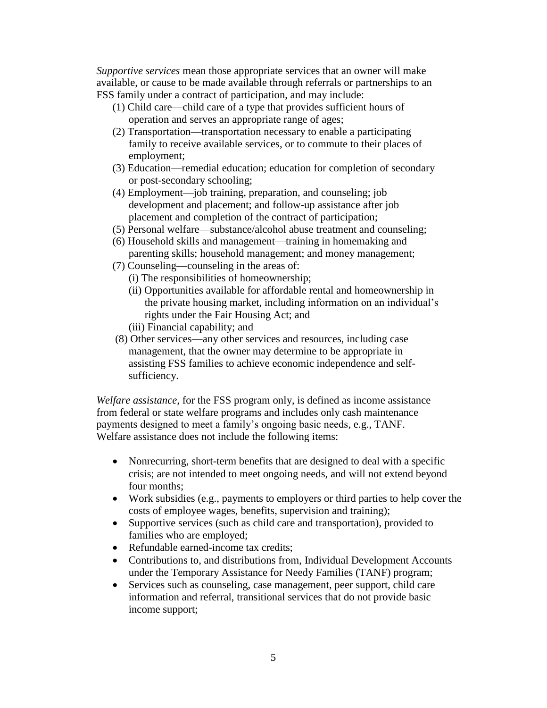*Supportive services* mean those appropriate services that an owner will make available, or cause to be made available through referrals or partnerships to an FSS family under a contract of participation, and may include:

- (1) Child care—child care of a type that provides sufficient hours of operation and serves an appropriate range of ages;
- (2) Transportation—transportation necessary to enable a participating family to receive available services, or to commute to their places of employment;
- (3) Education—remedial education; education for completion of secondary or post-secondary schooling;
- (4) Employment—job training, preparation, and counseling; job development and placement; and follow-up assistance after job placement and completion of the contract of participation;
- (5) Personal welfare—substance/alcohol abuse treatment and counseling;
- (6) Household skills and management—training in homemaking and parenting skills; household management; and money management;
- (7) Counseling—counseling in the areas of:
	- (i) The responsibilities of homeownership;
	- (ii) Opportunities available for affordable rental and homeownership in the private housing market, including information on an individual's rights under the Fair Housing Act; and
	- (iii) Financial capability; and
- (8) Other services—any other services and resources, including case management, that the owner may determine to be appropriate in assisting FSS families to achieve economic independence and selfsufficiency.

*Welfare assistance,* for the FSS program only, is defined as income assistance from federal or state welfare programs and includes only cash maintenance payments designed to meet a family's ongoing basic needs, e.g., TANF. Welfare assistance does not include the following items:

- Nonrecurring, short-term benefits that are designed to deal with a specific crisis; are not intended to meet ongoing needs, and will not extend beyond four months;
- Work subsidies (e.g., payments to employers or third parties to help cover the costs of employee wages, benefits, supervision and training);
- Supportive services (such as child care and transportation), provided to families who are employed;
- Refundable earned-income tax credits:
- Contributions to, and distributions from, Individual Development Accounts under the Temporary Assistance for Needy Families (TANF) program;
- Services such as counseling, case management, peer support, child care information and referral, transitional services that do not provide basic income support;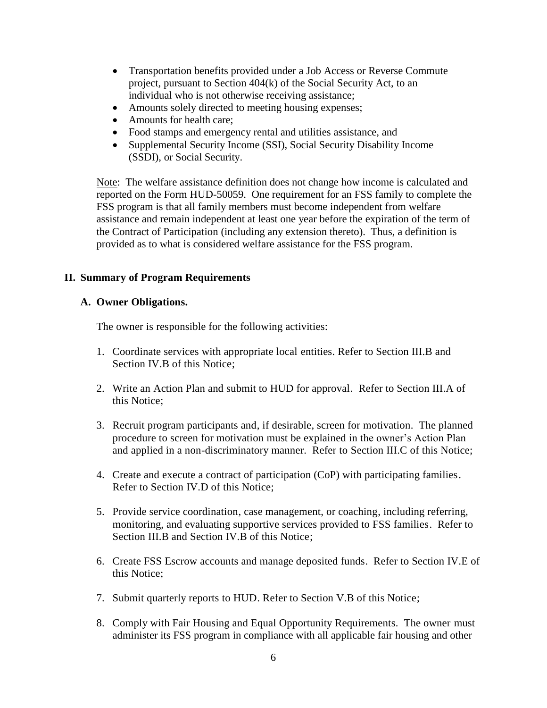- Transportation benefits provided under a Job Access or Reverse Commute project, pursuant to Section 404(k) of the Social Security Act, to an individual who is not otherwise receiving assistance;
- Amounts solely directed to meeting housing expenses;
- Amounts for health care:
- Food stamps and emergency rental and utilities assistance, and
- Supplemental Security Income (SSI), Social Security Disability Income (SSDI), or Social Security.

Note: The welfare assistance definition does not change how income is calculated and reported on the Form HUD-50059. One requirement for an FSS family to complete the FSS program is that all family members must become independent from welfare assistance and remain independent at least one year before the expiration of the term of the Contract of Participation (including any extension thereto). Thus, a definition is provided as to what is considered welfare assistance for the FSS program.

## **II. Summary of Program Requirements**

### **A. Owner Obligations.**

The owner is responsible for the following activities:

- 1. Coordinate services with appropriate local entities. Refer to Section III.B and Section IV.B of this Notice;
- 2. Write an Action Plan and submit to HUD for approval. Refer to Section III.A of this Notice;
- 3. Recruit program participants and, if desirable, screen for motivation. The planned procedure to screen for motivation must be explained in the owner's Action Plan and applied in a non-discriminatory manner. Refer to Section III.C of this Notice;
- 4. Create and execute a contract of participation (CoP) with participating families. Refer to Section IV.D of this Notice;
- 5. Provide service coordination, case management, or coaching, including referring, monitoring, and evaluating supportive services provided to FSS families. Refer to Section III.B and Section IV.B of this Notice;
- 6. Create FSS Escrow accounts and manage deposited funds. Refer to Section IV.E of this Notice;
- 7. Submit quarterly reports to HUD. Refer to Section V.B of this Notice;
- 8. Comply with Fair Housing and Equal Opportunity Requirements. The owner must administer its FSS program in compliance with all applicable fair housing and other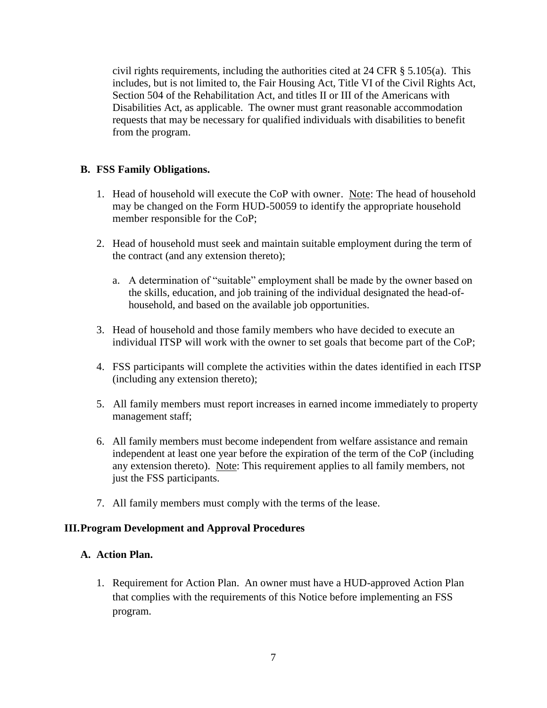civil rights requirements, including the authorities cited at 24 CFR § 5.105(a). This includes, but is not limited to, the Fair Housing Act, Title VI of the Civil Rights Act, Section 504 of the Rehabilitation Act, and titles II or III of the Americans with Disabilities Act, as applicable. The owner must grant reasonable accommodation requests that may be necessary for qualified individuals with disabilities to benefit from the program.

## **B. FSS Family Obligations.**

- 1. Head of household will execute the CoP with owner. Note: The head of household may be changed on the Form HUD-50059 to identify the appropriate household member responsible for the CoP;
- 2. Head of household must seek and maintain suitable employment during the term of the contract (and any extension thereto);
	- a. A determination of "suitable" employment shall be made by the owner based on the skills, education, and job training of the individual designated the head-ofhousehold, and based on the available job opportunities.
- 3. Head of household and those family members who have decided to execute an individual ITSP will work with the owner to set goals that become part of the CoP;
- 4. FSS participants will complete the activities within the dates identified in each ITSP (including any extension thereto);
- 5. All family members must report increases in earned income immediately to property management staff;
- 6. All family members must become independent from welfare assistance and remain independent at least one year before the expiration of the term of the CoP (including any extension thereto). Note: This requirement applies to all family members, not just the FSS participants.
- 7. All family members must comply with the terms of the lease.

### **III.Program Development and Approval Procedures**

### **A. Action Plan.**

1. Requirement for Action Plan. An owner must have a HUD-approved Action Plan that complies with the requirements of this Notice before implementing an FSS program.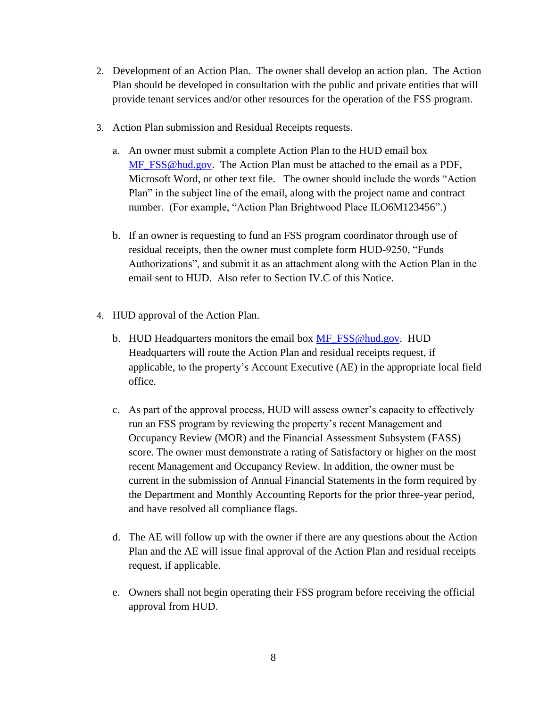- 2. Development of an Action Plan. The owner shall develop an action plan. The Action Plan should be developed in consultation with the public and private entities that will provide tenant services and/or other resources for the operation of the FSS program.
- 3. Action Plan submission and Residual Receipts requests.
	- a. An owner must submit a complete Action Plan to the HUD email box [MF\\_FSS@hud.gov.](mailto:MF_FSS@hud.gov) The Action Plan must be attached to the email as a PDF, Microsoft Word, or other text file. The owner should include the words "Action Plan" in the subject line of the email, along with the project name and contract number. (For example, "Action Plan Brightwood Place ILO6M123456".)
	- b. If an owner is requesting to fund an FSS program coordinator through use of residual receipts, then the owner must complete form HUD-9250, "Funds Authorizations", and submit it as an attachment along with the Action Plan in the email sent to HUD. Also refer to Section IV.C of this Notice.
- 4. HUD approval of the Action Plan.
	- b. HUD Headquarters monitors the email box [MF\\_FSS@hud.gov.](mailto:MF_FSS@hud.gov) HUD Headquarters will route the Action Plan and residual receipts request, if applicable, to the property's Account Executive (AE) in the appropriate local field office.
	- c. As part of the approval process, HUD will assess owner's capacity to effectively run an FSS program by reviewing the property's recent Management and Occupancy Review (MOR) and the Financial Assessment Subsystem (FASS) score. The owner must demonstrate a rating of Satisfactory or higher on the most recent Management and Occupancy Review. In addition, the owner must be current in the submission of Annual Financial Statements in the form required by the Department and Monthly Accounting Reports for the prior three-year period, and have resolved all compliance flags.
	- d. The AE will follow up with the owner if there are any questions about the Action Plan and the AE will issue final approval of the Action Plan and residual receipts request, if applicable.
	- e. Owners shall not begin operating their FSS program before receiving the official approval from HUD.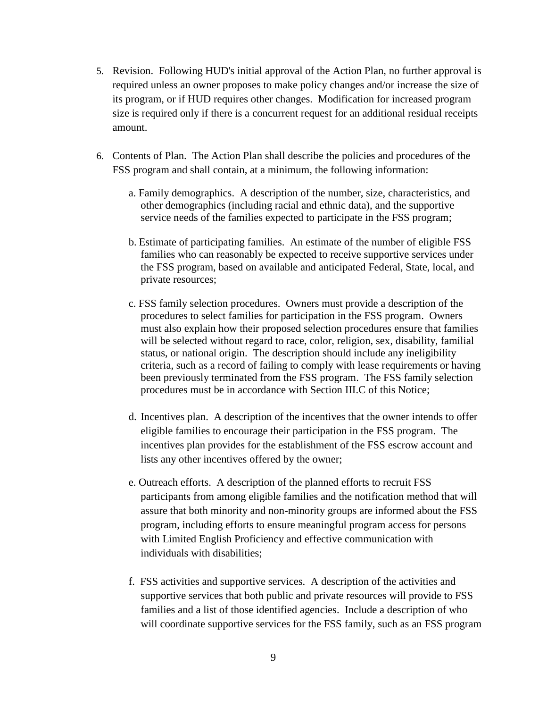- 5. Revision. Following HUD's initial approval of the Action Plan, no further approval is required unless an owner proposes to make policy changes and/or increase the size of its program, or if HUD requires other changes. Modification for increased program size is required only if there is a concurrent request for an additional residual receipts amount.
- 6. Contents of Plan. The Action Plan shall describe the policies and procedures of the FSS program and shall contain, at a minimum, the following information:
	- a. Family demographics. A description of the number, size, characteristics, and other demographics (including racial and ethnic data), and the supportive service needs of the families expected to participate in the FSS program;
	- b. Estimate of participating families. An estimate of the number of eligible FSS families who can reasonably be expected to receive supportive services under the FSS program, based on available and anticipated Federal, State, local, and private resources;
	- c. FSS family selection procedures. Owners must provide a description of the procedures to select families for participation in the FSS program. Owners must also explain how their proposed selection procedures ensure that families will be selected without regard to race, color, religion, sex, disability, familial status, or national origin. The description should include any ineligibility criteria, such as a record of failing to comply with lease requirements or having been previously terminated from the FSS program. The FSS family selection procedures must be in accordance with Section III.C of this Notice;
	- d. Incentives plan. A description of the incentives that the owner intends to offer eligible families to encourage their participation in the FSS program. The incentives plan provides for the establishment of the FSS escrow account and lists any other incentives offered by the owner;
	- e. Outreach efforts. A description of the planned efforts to recruit FSS participants from among eligible families and the notification method that will assure that both minority and non-minority groups are informed about the FSS program, including efforts to ensure meaningful program access for persons with Limited English Proficiency and effective communication with individuals with disabilities;
	- f. FSS activities and supportive services. A description of the activities and supportive services that both public and private resources will provide to FSS families and a list of those identified agencies. Include a description of who will coordinate supportive services for the FSS family, such as an FSS program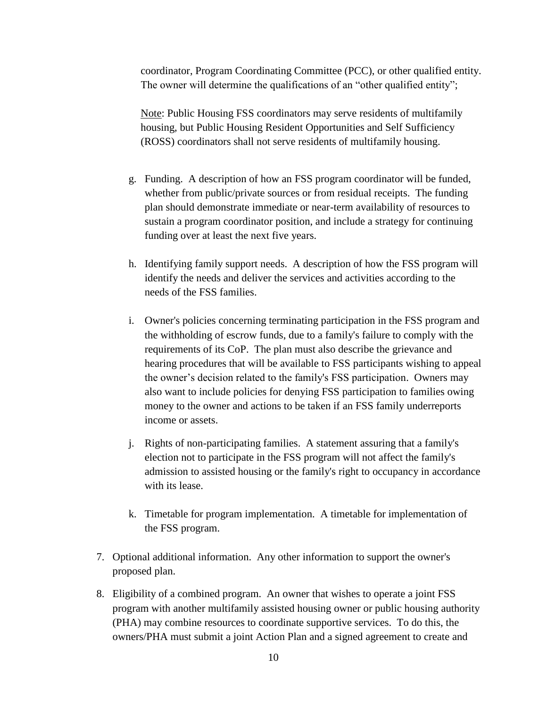coordinator, Program Coordinating Committee (PCC), or other qualified entity. The owner will determine the qualifications of an "other qualified entity";

Note: Public Housing FSS coordinators may serve residents of multifamily housing, but Public Housing Resident Opportunities and Self Sufficiency (ROSS) coordinators shall not serve residents of multifamily housing.

- g. Funding. A description of how an FSS program coordinator will be funded, whether from public/private sources or from residual receipts. The funding plan should demonstrate immediate or near-term availability of resources to sustain a program coordinator position, and include a strategy for continuing funding over at least the next five years.
- h. Identifying family support needs. A description of how the FSS program will identify the needs and deliver the services and activities according to the needs of the FSS families.
- i. Owner's policies concerning terminating participation in the FSS program and the withholding of escrow funds, due to a family's failure to comply with the requirements of its CoP. The plan must also describe the grievance and hearing procedures that will be available to FSS participants wishing to appeal the owner's decision related to the family's FSS participation. Owners may also want to include policies for denying FSS participation to families owing money to the owner and actions to be taken if an FSS family underreports income or assets.
- j. Rights of non-participating families. A statement assuring that a family's election not to participate in the FSS program will not affect the family's admission to assisted housing or the family's right to occupancy in accordance with its lease.
- k. Timetable for program implementation. A timetable for implementation of the FSS program.
- 7. Optional additional information. Any other information to support the owner's proposed plan.
- 8. Eligibility of a combined program. An owner that wishes to operate a joint FSS program with another multifamily assisted housing owner or public housing authority (PHA) may combine resources to coordinate supportive services. To do this, the owners/PHA must submit a joint Action Plan and a signed agreement to create and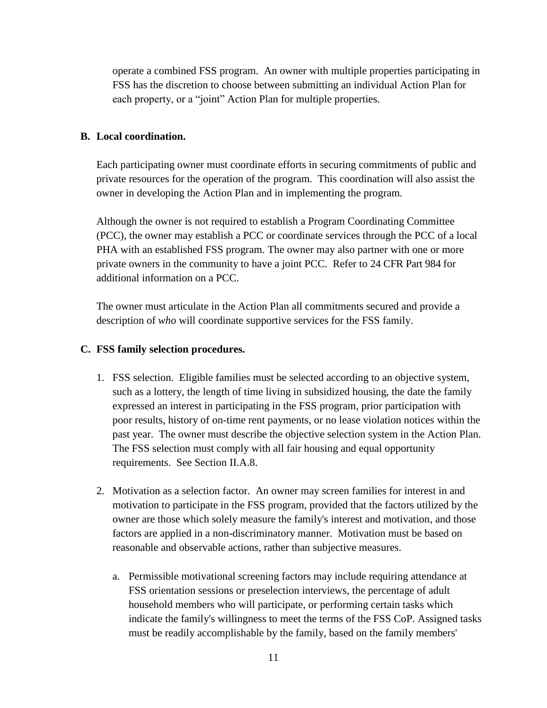operate a combined FSS program. An owner with multiple properties participating in FSS has the discretion to choose between submitting an individual Action Plan for each property, or a "joint" Action Plan for multiple properties.

#### **B. Local coordination.**

Each participating owner must coordinate efforts in securing commitments of public and private resources for the operation of the program. This coordination will also assist the owner in developing the Action Plan and in implementing the program.

Although the owner is not required to establish a Program Coordinating Committee (PCC), the owner may establish a PCC or coordinate services through the PCC of a local PHA with an established FSS program. The owner may also partner with one or more private owners in the community to have a joint PCC. Refer to 24 CFR Part 984 for additional information on a PCC.

The owner must articulate in the Action Plan all commitments secured and provide a description of *who* will coordinate supportive services for the FSS family.

#### **C. FSS family selection procedures.**

- 1. FSS selection. Eligible families must be selected according to an objective system, such as a lottery, the length of time living in subsidized housing, the date the family expressed an interest in participating in the FSS program, prior participation with poor results, history of on-time rent payments, or no lease violation notices within the past year. The owner must describe the objective selection system in the Action Plan. The FSS selection must comply with all fair housing and equal opportunity requirements. See Section II.A.8.
- 2. Motivation as a selection factor. An owner may screen families for interest in and motivation to participate in the FSS program, provided that the factors utilized by the owner are those which solely measure the family's interest and motivation, and those factors are applied in a non-discriminatory manner. Motivation must be based on reasonable and observable actions, rather than subjective measures.
	- a. Permissible motivational screening factors may include requiring attendance at FSS orientation sessions or preselection interviews, the percentage of adult household members who will participate, or performing certain tasks which indicate the family's willingness to meet the terms of the FSS CoP. Assigned tasks must be readily accomplishable by the family, based on the family members'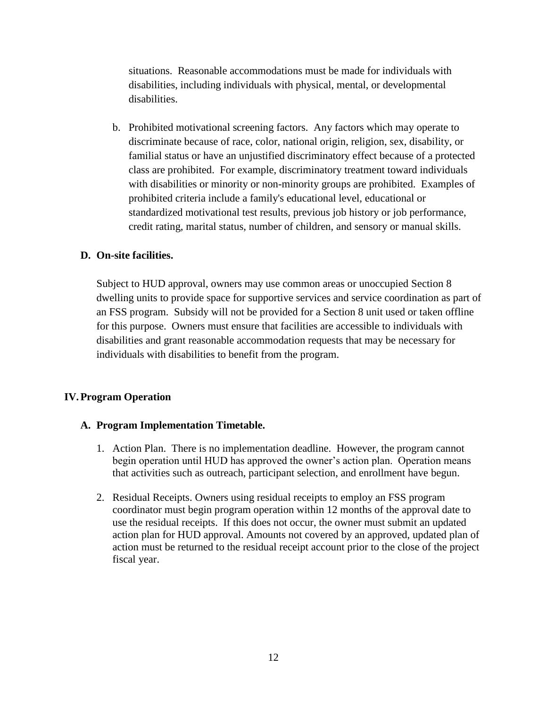situations. Reasonable accommodations must be made for individuals with disabilities, including individuals with physical, mental, or developmental disabilities.

b. Prohibited motivational screening factors. Any factors which may operate to discriminate because of race, color, national origin, religion, sex, disability, or familial status or have an unjustified discriminatory effect because of a protected class are prohibited. For example, discriminatory treatment toward individuals with disabilities or minority or non-minority groups are prohibited. Examples of prohibited criteria include a family's educational level, educational or standardized motivational test results, previous job history or job performance, credit rating, marital status, number of children, and sensory or manual skills.

### **D. On-site facilities.**

Subject to HUD approval, owners may use common areas or unoccupied Section 8 dwelling units to provide space for supportive services and service coordination as part of an FSS program. Subsidy will not be provided for a Section 8 unit used or taken offline for this purpose. Owners must ensure that facilities are accessible to individuals with disabilities and grant reasonable accommodation requests that may be necessary for individuals with disabilities to benefit from the program.

### **IV.Program Operation**

## **A. Program Implementation Timetable.**

- 1. Action Plan. There is no implementation deadline. However, the program cannot begin operation until HUD has approved the owner's action plan. Operation means that activities such as outreach, participant selection, and enrollment have begun.
- 2. Residual Receipts. Owners using residual receipts to employ an FSS program coordinator must begin program operation within 12 months of the approval date to use the residual receipts. If this does not occur, the owner must submit an updated action plan for HUD approval. Amounts not covered by an approved, updated plan of action must be returned to the residual receipt account prior to the close of the project fiscal year.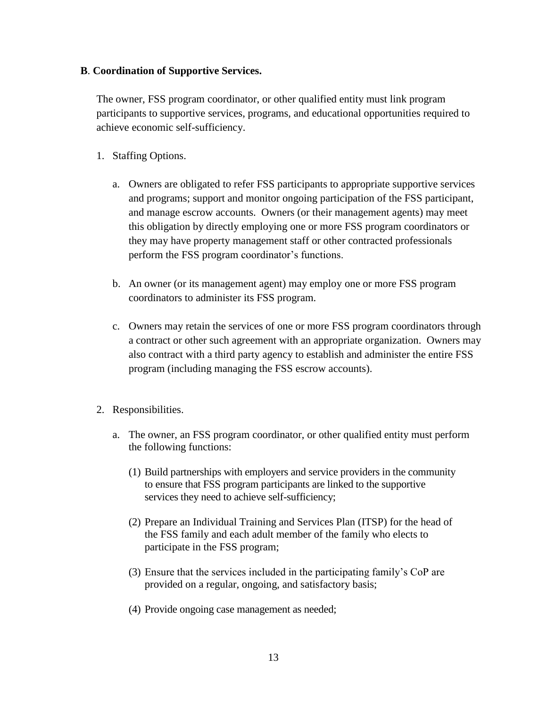## **B**. **Coordination of Supportive Services.**

The owner, FSS program coordinator, or other qualified entity must link program participants to supportive services, programs, and educational opportunities required to achieve economic self-sufficiency.

- 1. Staffing Options.
	- a. Owners are obligated to refer FSS participants to appropriate supportive services and programs; support and monitor ongoing participation of the FSS participant, and manage escrow accounts. Owners (or their management agents) may meet this obligation by directly employing one or more FSS program coordinators or they may have property management staff or other contracted professionals perform the FSS program coordinator's functions.
	- b. An owner (or its management agent) may employ one or more FSS program coordinators to administer its FSS program.
	- c. Owners may retain the services of one or more FSS program coordinators through a contract or other such agreement with an appropriate organization. Owners may also contract with a third party agency to establish and administer the entire FSS program (including managing the FSS escrow accounts).
- 2. Responsibilities.
	- a. The owner, an FSS program coordinator, or other qualified entity must perform the following functions:
		- (1) Build partnerships with employers and service providers in the community to ensure that FSS program participants are linked to the supportive services they need to achieve self-sufficiency;
		- (2) Prepare an Individual Training and Services Plan (ITSP) for the head of the FSS family and each adult member of the family who elects to participate in the FSS program;
		- (3) Ensure that the services included in the participating family's CoP are provided on a regular, ongoing, and satisfactory basis;
		- (4) Provide ongoing case management as needed;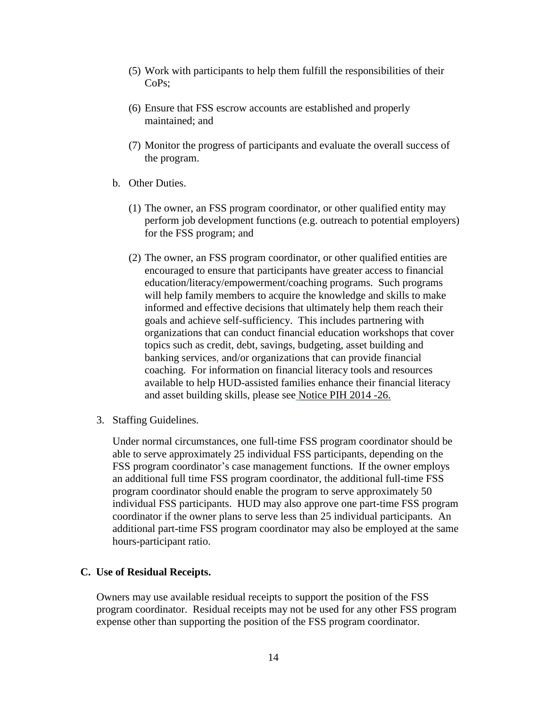- (5) Work with participants to help them fulfill the responsibilities of their CoPs;
- (6) Ensure that FSS escrow accounts are established and properly maintained; and
- (7) Monitor the progress of participants and evaluate the overall success of the program.
- b. Other Duties.
	- (1) The owner, an FSS program coordinator, or other qualified entity may perform job development functions (e.g. outreach to potential employers) for the FSS program; and
	- (2) The owner, an FSS program coordinator, or other qualified entities are encouraged to ensure that participants have greater access to financial education/literacy/empowerment/coaching programs. Such programs will help family members to acquire the knowledge and skills to make informed and effective decisions that ultimately help them reach their goals and achieve self-sufficiency. This includes partnering with organizations that can conduct financial education workshops that cover topics such as credit, debt, savings, budgeting, asset building and banking services, and/or organizations that can provide financial coaching. For information on financial literacy tools and resources available to help HUD-assisted families enhance their financial literacy and asset building skills, please see Notice PIH 2014 -26.
- 3. Staffing Guidelines.

Under normal circumstances, one full-time FSS program coordinator should be able to serve approximately 25 individual FSS participants, depending on the FSS program coordinator's case management functions. If the owner employs an additional full time FSS program coordinator, the additional full-time FSS program coordinator should enable the program to serve approximately 50 individual FSS participants. HUD may also approve one part-time FSS program coordinator if the owner plans to serve less than 25 individual participants. An additional part-time FSS program coordinator may also be employed at the same hours-participant ratio.

#### **C. Use of Residual Receipts.**

Owners may use available residual receipts to support the position of the FSS program coordinator. Residual receipts may not be used for any other FSS program expense other than supporting the position of the FSS program coordinator.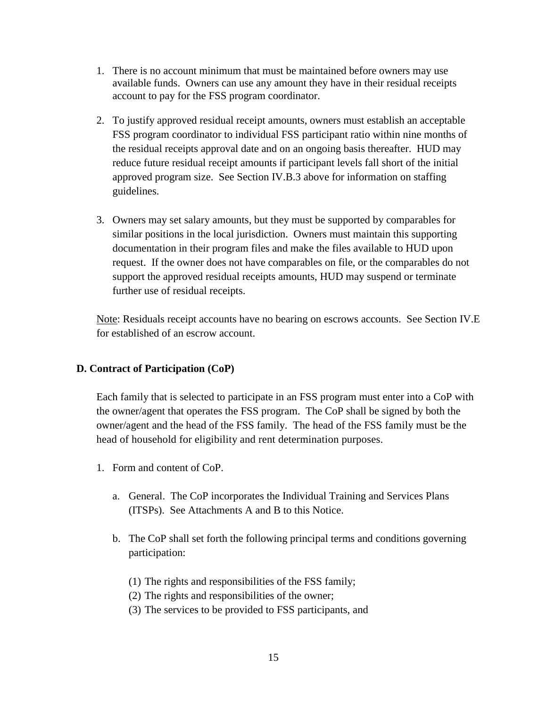- 1. There is no account minimum that must be maintained before owners may use available funds. Owners can use any amount they have in their residual receipts account to pay for the FSS program coordinator.
- 2. To justify approved residual receipt amounts, owners must establish an acceptable FSS program coordinator to individual FSS participant ratio within nine months of the residual receipts approval date and on an ongoing basis thereafter. HUD may reduce future residual receipt amounts if participant levels fall short of the initial approved program size. See Section IV.B.3 above for information on staffing guidelines.
- 3. Owners may set salary amounts, but they must be supported by comparables for similar positions in the local jurisdiction. Owners must maintain this supporting documentation in their program files and make the files available to HUD upon request. If the owner does not have comparables on file, or the comparables do not support the approved residual receipts amounts, HUD may suspend or terminate further use of residual receipts.

Note: Residuals receipt accounts have no bearing on escrows accounts. See Section IV.E for established of an escrow account.

## **D. Contract of Participation (CoP)**

Each family that is selected to participate in an FSS program must enter into a CoP with the owner/agent that operates the FSS program. The CoP shall be signed by both the owner/agent and the head of the FSS family. The head of the FSS family must be the head of household for eligibility and rent determination purposes.

- 1. Form and content of CoP.
	- a. General. The CoP incorporates the Individual Training and Services Plans (ITSPs). See Attachments A and B to this Notice.
	- b. The CoP shall set forth the following principal terms and conditions governing participation:
		- (1) The rights and responsibilities of the FSS family;
		- (2) The rights and responsibilities of the owner;
		- (3) The services to be provided to FSS participants, and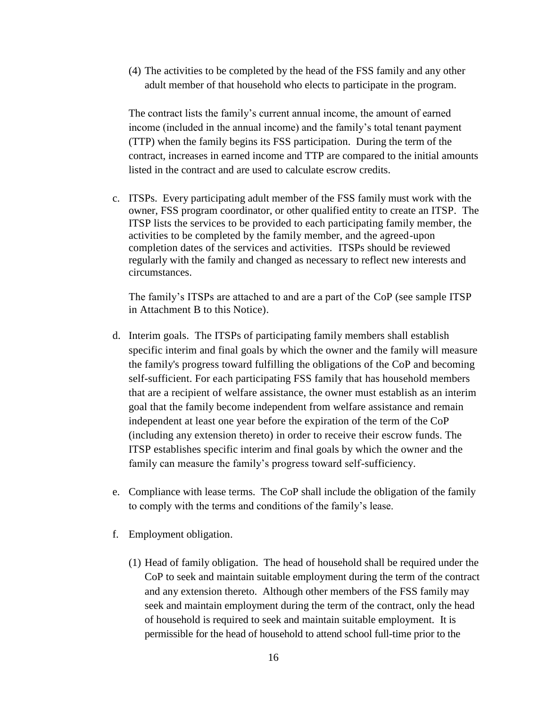(4) The activities to be completed by the head of the FSS family and any other adult member of that household who elects to participate in the program.

The contract lists the family's current annual income, the amount of earned income (included in the annual income) and the family's total tenant payment (TTP) when the family begins its FSS participation. During the term of the contract, increases in earned income and TTP are compared to the initial amounts listed in the contract and are used to calculate escrow credits.

c. ITSPs. Every participating adult member of the FSS family must work with the owner, FSS program coordinator, or other qualified entity to create an ITSP. The ITSP lists the services to be provided to each participating family member, the activities to be completed by the family member, and the agreed-upon completion dates of the services and activities. ITSPs should be reviewed regularly with the family and changed as necessary to reflect new interests and circumstances.

The family's ITSPs are attached to and are a part of the CoP (see sample ITSP in Attachment B to this Notice).

- d. Interim goals. The ITSPs of participating family members shall establish specific interim and final goals by which the owner and the family will measure the family's progress toward fulfilling the obligations of the CoP and becoming self-sufficient. For each participating FSS family that has household members that are a recipient of welfare assistance, the owner must establish as an interim goal that the family become independent from welfare assistance and remain independent at least one year before the expiration of the term of the CoP (including any extension thereto) in order to receive their escrow funds. The ITSP establishes specific interim and final goals by which the owner and the family can measure the family's progress toward self-sufficiency.
- e. Compliance with lease terms. The CoP shall include the obligation of the family to comply with the terms and conditions of the family's lease.
- f. Employment obligation.
	- (1) Head of family obligation. The head of household shall be required under the CoP to seek and maintain suitable employment during the term of the contract and any extension thereto. Although other members of the FSS family may seek and maintain employment during the term of the contract, only the head of household is required to seek and maintain suitable employment. It is permissible for the head of household to attend school full-time prior to the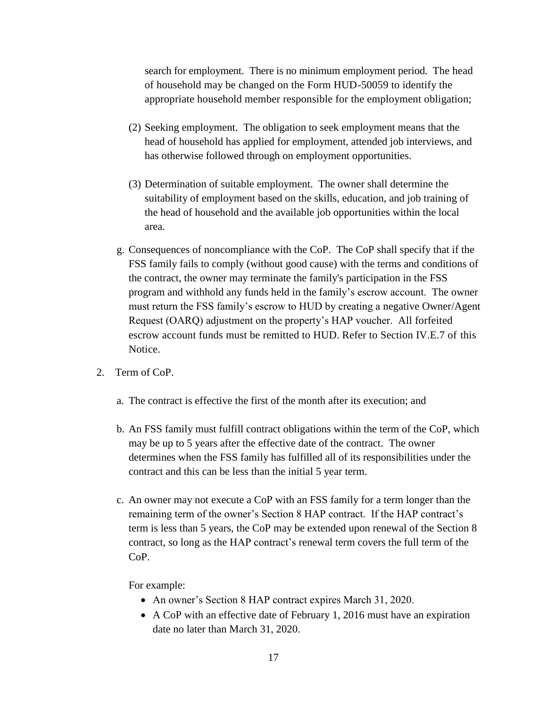search for employment. There is no minimum employment period. The head of household may be changed on the Form HUD-50059 to identify the appropriate household member responsible for the employment obligation;

- (2) Seeking employment. The obligation to seek employment means that the head of household has applied for employment, attended job interviews, and has otherwise followed through on employment opportunities.
- (3) Determination of suitable employment. The owner shall determine the suitability of employment based on the skills, education, and job training of the head of household and the available job opportunities within the local area.
- g. Consequences of noncompliance with the CoP. The CoP shall specify that if the FSS family fails to comply (without good cause) with the terms and conditions of the contract, the owner may terminate the family's participation in the FSS program and withhold any funds held in the family's escrow account. The owner must return the FSS family's escrow to HUD by creating a negative Owner/Agent Request (OARQ) adjustment on the property's HAP voucher. All forfeited escrow account funds must be remitted to HUD. Refer to Section IV.E.7 of this Notice.
- 2. Term of CoP.
	- a. The contract is effective the first of the month after its execution; and
	- b. An FSS family must fulfill contract obligations within the term of the CoP, which may be up to 5 years after the effective date of the contract. The owner determines when the FSS family has fulfilled all of its responsibilities under the contract and this can be less than the initial 5 year term.
	- c. An owner may not execute a CoP with an FSS family for a term longer than the remaining term of the owner's Section 8 HAP contract. If the HAP contract's term is less than 5 years, the CoP may be extended upon renewal of the Section 8 contract, so long as the HAP contract's renewal term covers the full term of the CoP.

For example:

- An owner's Section 8 HAP contract expires March 31, 2020.
- A CoP with an effective date of February 1, 2016 must have an expiration date no later than March 31, 2020.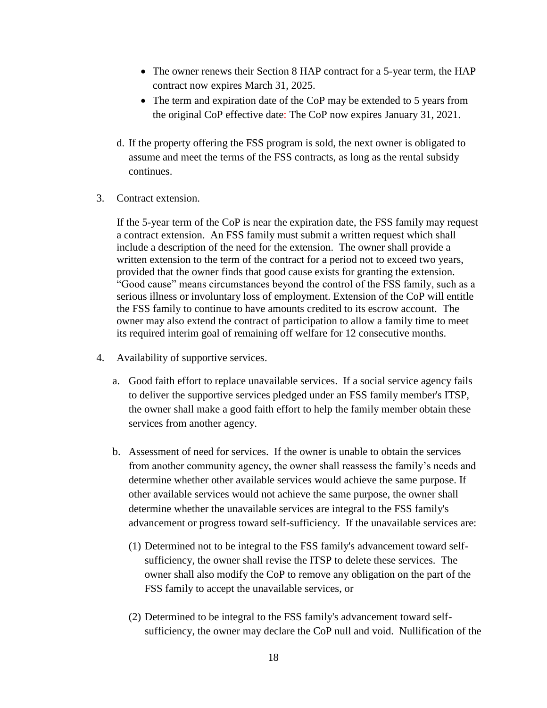- The owner renews their Section 8 HAP contract for a 5-year term, the HAP contract now expires March 31, 2025.
- The term and expiration date of the CoP may be extended to 5 years from the original CoP effective date: The CoP now expires January 31, 2021.
- d. If the property offering the FSS program is sold, the next owner is obligated to assume and meet the terms of the FSS contracts, as long as the rental subsidy continues.
- 3. Contract extension.

If the 5-year term of the CoP is near the expiration date, the FSS family may request a contract extension. An FSS family must submit a written request which shall include a description of the need for the extension. The owner shall provide a written extension to the term of the contract for a period not to exceed two years, provided that the owner finds that good cause exists for granting the extension. "Good cause" means circumstances beyond the control of the FSS family, such as a serious illness or involuntary loss of employment. Extension of the CoP will entitle the FSS family to continue to have amounts credited to its escrow account. The owner may also extend the contract of participation to allow a family time to meet its required interim goal of remaining off welfare for 12 consecutive months.

- 4. Availability of supportive services.
	- a. Good faith effort to replace unavailable services. If a social service agency fails to deliver the supportive services pledged under an FSS family member's ITSP, the owner shall make a good faith effort to help the family member obtain these services from another agency.
	- b. Assessment of need for services. If the owner is unable to obtain the services from another community agency, the owner shall reassess the family's needs and determine whether other available services would achieve the same purpose. If other available services would not achieve the same purpose, the owner shall determine whether the unavailable services are integral to the FSS family's advancement or progress toward self-sufficiency. If the unavailable services are:
		- (1) Determined not to be integral to the FSS family's advancement toward selfsufficiency, the owner shall revise the ITSP to delete these services. The owner shall also modify the CoP to remove any obligation on the part of the FSS family to accept the unavailable services, or
		- (2) Determined to be integral to the FSS family's advancement toward selfsufficiency, the owner may declare the CoP null and void. Nullification of the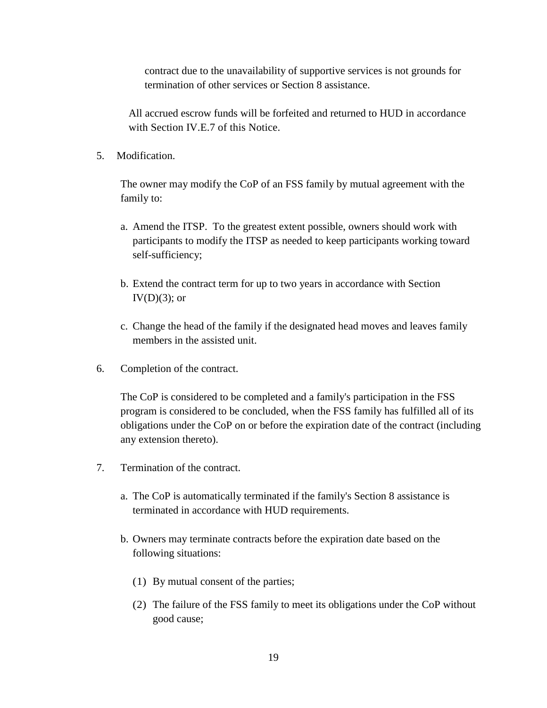contract due to the unavailability of supportive services is not grounds for termination of other services or Section 8 assistance.

All accrued escrow funds will be forfeited and returned to HUD in accordance with Section IV.E.7 of this Notice.

5. Modification.

The owner may modify the CoP of an FSS family by mutual agreement with the family to:

- a. Amend the ITSP. To the greatest extent possible, owners should work with participants to modify the ITSP as needed to keep participants working toward self-sufficiency;
- b. Extend the contract term for up to two years in accordance with Section  $IV(D)(3)$ ; or
- c. Change the head of the family if the designated head moves and leaves family members in the assisted unit.
- 6. Completion of the contract.

The CoP is considered to be completed and a family's participation in the FSS program is considered to be concluded, when the FSS family has fulfilled all of its obligations under the CoP on or before the expiration date of the contract (including any extension thereto).

- 7. Termination of the contract.
	- a. The CoP is automatically terminated if the family's Section 8 assistance is terminated in accordance with HUD requirements.
	- b. Owners may terminate contracts before the expiration date based on the following situations:
		- (1) By mutual consent of the parties;
		- (2) The failure of the FSS family to meet its obligations under the CoP without good cause;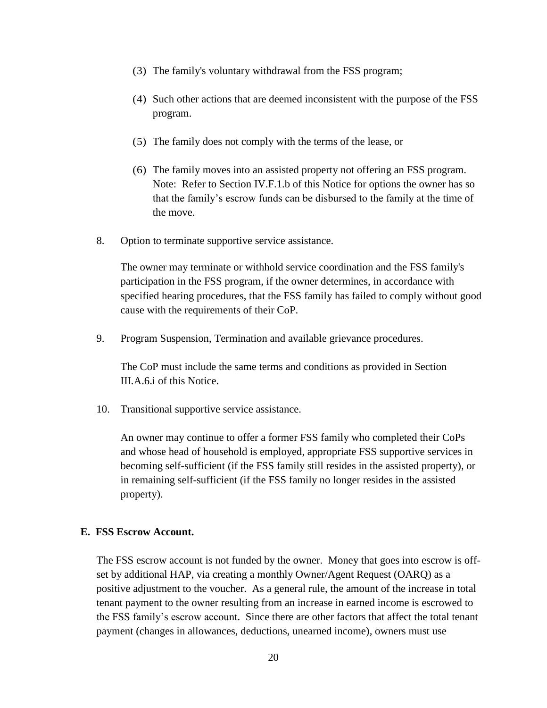- (3) The family's voluntary withdrawal from the FSS program;
- (4) Such other actions that are deemed inconsistent with the purpose of the FSS program.
- (5) The family does not comply with the terms of the lease, or
- (6) The family moves into an assisted property not offering an FSS program. Note: Refer to Section IV.F.1.b of this Notice for options the owner has so that the family's escrow funds can be disbursed to the family at the time of the move.
- 8. Option to terminate supportive service assistance.

The owner may terminate or withhold service coordination and the FSS family's participation in the FSS program, if the owner determines, in accordance with specified hearing procedures, that the FSS family has failed to comply without good cause with the requirements of their CoP.

9. Program Suspension, Termination and available grievance procedures.

The CoP must include the same terms and conditions as provided in Section III.A.6.i of this Notice.

10. Transitional supportive service assistance.

An owner may continue to offer a former FSS family who completed their CoPs and whose head of household is employed, appropriate FSS supportive services in becoming self-sufficient (if the FSS family still resides in the assisted property), or in remaining self-sufficient (if the FSS family no longer resides in the assisted property).

#### **E. FSS Escrow Account.**

The FSS escrow account is not funded by the owner. Money that goes into escrow is offset by additional HAP, via creating a monthly Owner/Agent Request (OARQ) as a positive adjustment to the voucher. As a general rule, the amount of the increase in total tenant payment to the owner resulting from an increase in earned income is escrowed to the FSS family's escrow account. Since there are other factors that affect the total tenant payment (changes in allowances, deductions, unearned income), owners must use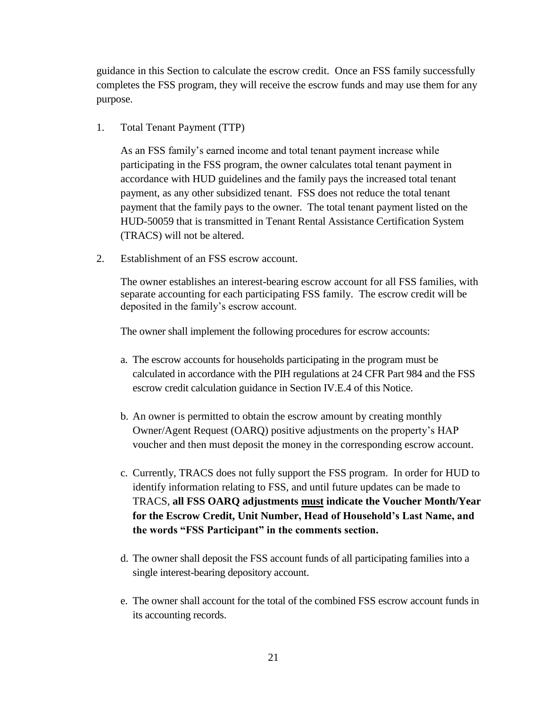guidance in this Section to calculate the escrow credit. Once an FSS family successfully completes the FSS program, they will receive the escrow funds and may use them for any purpose.

1. Total Tenant Payment (TTP)

As an FSS family's earned income and total tenant payment increase while participating in the FSS program, the owner calculates total tenant payment in accordance with HUD guidelines and the family pays the increased total tenant payment, as any other subsidized tenant. FSS does not reduce the total tenant payment that the family pays to the owner. The total tenant payment listed on the HUD-50059 that is transmitted in Tenant Rental Assistance Certification System (TRACS) will not be altered.

2. Establishment of an FSS escrow account.

The owner establishes an interest-bearing escrow account for all FSS families, with separate accounting for each participating FSS family. The escrow credit will be deposited in the family's escrow account.

The owner shall implement the following procedures for escrow accounts:

- a. The escrow accounts for households participating in the program must be calculated in accordance with the PIH regulations at 24 CFR Part 984 and the FSS escrow credit calculation guidance in Section IV.E.4 of this Notice.
- b. An owner is permitted to obtain the escrow amount by creating monthly Owner/Agent Request (OARQ) positive adjustments on the property's HAP voucher and then must deposit the money in the corresponding escrow account.
- c. Currently, TRACS does not fully support the FSS program. In order for HUD to identify information relating to FSS, and until future updates can be made to TRACS, **all FSS OARQ adjustments must indicate the Voucher Month/Year for the Escrow Credit, Unit Number, Head of Household's Last Name, and the words "FSS Participant" in the comments section.**
- d. The owner shall deposit the FSS account funds of all participating families into a single interest-bearing depository account.
- e. The owner shall account for the total of the combined FSS escrow account funds in its accounting records.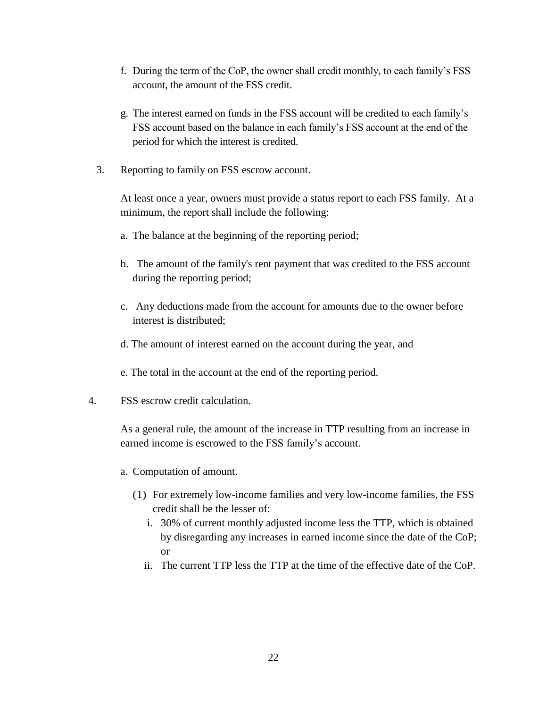- f. During the term of the CoP, the owner shall credit monthly, to each family's FSS account, the amount of the FSS credit.
- g. The interest earned on funds in the FSS account will be credited to each family's FSS account based on the balance in each family's FSS account at the end of the period for which the interest is credited.
- 3. Reporting to family on FSS escrow account.

At least once a year, owners must provide a status report to each FSS family. At a minimum, the report shall include the following:

- a. The balance at the beginning of the reporting period;
- b. The amount of the family's rent payment that was credited to the FSS account during the reporting period;
- c. Any deductions made from the account for amounts due to the owner before interest is distributed;
- d. The amount of interest earned on the account during the year, and
- e. The total in the account at the end of the reporting period.
- 4. FSS escrow credit calculation.

As a general rule, the amount of the increase in TTP resulting from an increase in earned income is escrowed to the FSS family's account.

- a. Computation of amount.
	- (1) For extremely low-income families and very low-income families, the FSS credit shall be the lesser of:
		- i. 30% of current monthly adjusted income less the TTP, which is obtained by disregarding any increases in earned income since the date of the CoP; or
		- ii. The current TTP less the TTP at the time of the effective date of the CoP.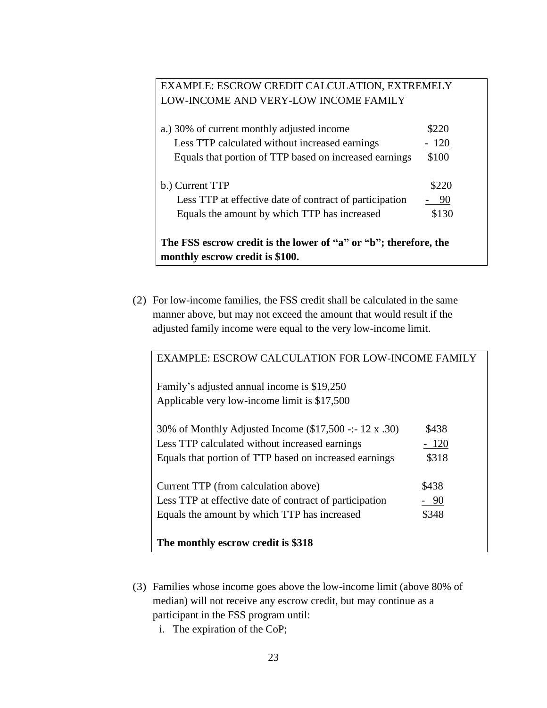# EXAMPLE: ESCROW CREDIT CALCULATION, EXTREMELY LOW-INCOME AND VERY-LOW INCOME FAMILY

| a.) 30% of current monthly adjusted income                                                          | \$220 |  |  |
|-----------------------------------------------------------------------------------------------------|-------|--|--|
| Less TTP calculated without increased earnings                                                      | - 120 |  |  |
| Equals that portion of TTP based on increased earnings                                              | \$100 |  |  |
| b.) Current TTP                                                                                     | \$220 |  |  |
| Less TTP at effective date of contract of participation                                             | 90    |  |  |
| Equals the amount by which TTP has increased                                                        | \$130 |  |  |
| The FSS escrow credit is the lower of "a" or "b"; therefore, the<br>monthly escrow credit is \$100. |       |  |  |

(2) For low-income families, the FSS credit shall be calculated in the same manner above, but may not exceed the amount that would result if the adjusted family income were equal to the very low-income limit.

| <b>EXAMPLE: ESCROW CALCULATION FOR LOW-INCOME FAMILY</b> |        |  |
|----------------------------------------------------------|--------|--|
| Family's adjusted annual income is \$19,250              |        |  |
| Applicable very low-income limit is \$17,500             |        |  |
| 30% of Monthly Adjusted Income (\$17,500 -:- 12 x .30)   | \$438  |  |
| Less TTP calculated without increased earnings           | $-120$ |  |
| Equals that portion of TTP based on increased earnings   | \$318  |  |
| Current TTP (from calculation above)                     | \$438  |  |
| Less TTP at effective date of contract of participation  | $-90$  |  |
| Equals the amount by which TTP has increased             | \$348  |  |
| The monthly escrow credit is \$318                       |        |  |

- (3) Families whose income goes above the low-income limit (above 80% of median) will not receive any escrow credit, but may continue as a participant in the FSS program until:
	- i. The expiration of the CoP;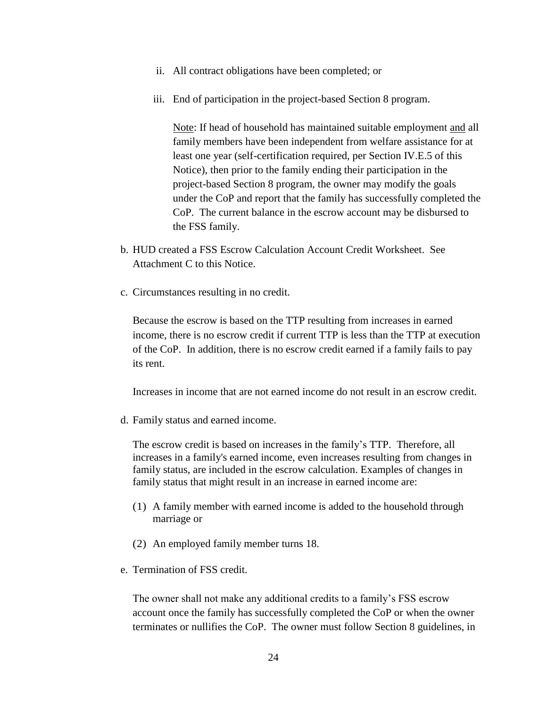- ii. All contract obligations have been completed; or
- iii. End of participation in the project-based Section 8 program.

Note: If head of household has maintained suitable employment and all family members have been independent from welfare assistance for at least one year (self-certification required, per Section IV.E.5 of this Notice), then prior to the family ending their participation in the project-based Section 8 program, the owner may modify the goals under the CoP and report that the family has successfully completed the CoP. The current balance in the escrow account may be disbursed to the FSS family.

- b. HUD created a FSS Escrow Calculation Account Credit Worksheet. See Attachment C to this Notice.
- c. Circumstances resulting in no credit.

Because the escrow is based on the TTP resulting from increases in earned income, there is no escrow credit if current TTP is less than the TTP at execution of the CoP. In addition, there is no escrow credit earned if a family fails to pay its rent.

Increases in income that are not earned income do not result in an escrow credit.

d. Family status and earned income.

The escrow credit is based on increases in the family's TTP. Therefore, all increases in a family's earned income, even increases resulting from changes in family status, are included in the escrow calculation. Examples of changes in family status that might result in an increase in earned income are:

- (1) A family member with earned income is added to the household through marriage or
- (2) An employed family member turns 18.
- e. Termination of FSS credit.

The owner shall not make any additional credits to a family's FSS escrow account once the family has successfully completed the CoP or when the owner terminates or nullifies the CoP. The owner must follow Section 8 guidelines, in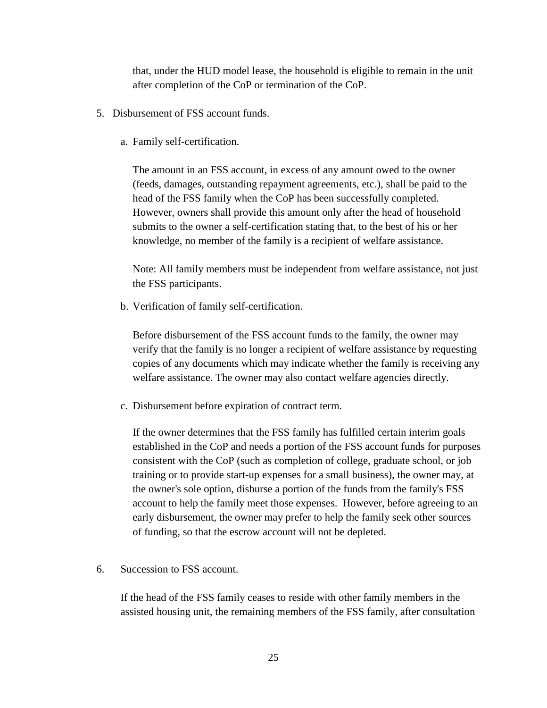that, under the HUD model lease, the household is eligible to remain in the unit after completion of the CoP or termination of the CoP.

- 5. Disbursement of FSS account funds.
	- a. Family self-certification.

The amount in an FSS account, in excess of any amount owed to the owner (feeds, damages, outstanding repayment agreements, etc.), shall be paid to the head of the FSS family when the CoP has been successfully completed. However, owners shall provide this amount only after the head of household submits to the owner a self-certification stating that, to the best of his or her knowledge, no member of the family is a recipient of welfare assistance.

Note: All family members must be independent from welfare assistance, not just the FSS participants.

b. Verification of family self-certification.

Before disbursement of the FSS account funds to the family, the owner may verify that the family is no longer a recipient of welfare assistance by requesting copies of any documents which may indicate whether the family is receiving any welfare assistance. The owner may also contact welfare agencies directly.

c. Disbursement before expiration of contract term.

If the owner determines that the FSS family has fulfilled certain interim goals established in the CoP and needs a portion of the FSS account funds for purposes consistent with the CoP (such as completion of college, graduate school, or job training or to provide start-up expenses for a small business), the owner may, at the owner's sole option, disburse a portion of the funds from the family's FSS account to help the family meet those expenses. However, before agreeing to an early disbursement, the owner may prefer to help the family seek other sources of funding, so that the escrow account will not be depleted.

6. Succession to FSS account.

If the head of the FSS family ceases to reside with other family members in the assisted housing unit, the remaining members of the FSS family, after consultation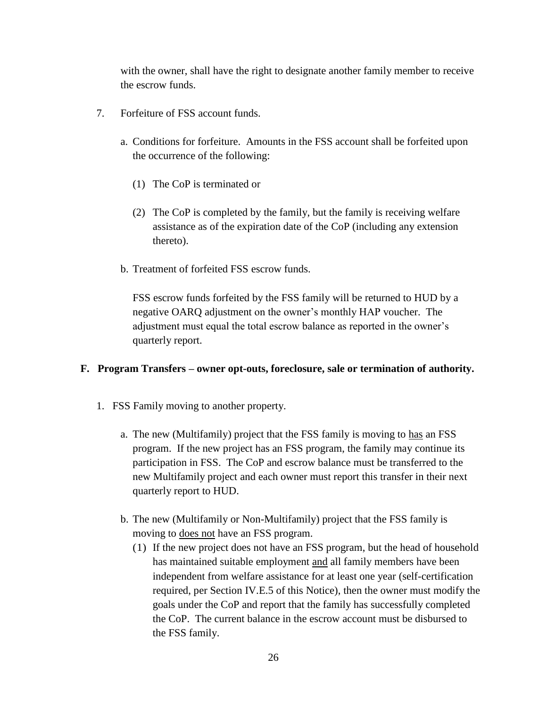with the owner, shall have the right to designate another family member to receive the escrow funds.

- 7. Forfeiture of FSS account funds.
	- a. Conditions for forfeiture. Amounts in the FSS account shall be forfeited upon the occurrence of the following:
		- (1) The CoP is terminated or
		- (2) The CoP is completed by the family, but the family is receiving welfare assistance as of the expiration date of the CoP (including any extension thereto).
	- b. Treatment of forfeited FSS escrow funds.

FSS escrow funds forfeited by the FSS family will be returned to HUD by a negative OARQ adjustment on the owner's monthly HAP voucher. The adjustment must equal the total escrow balance as reported in the owner's quarterly report.

### **F. Program Transfers – owner opt-outs, foreclosure, sale or termination of authority.**

- 1. FSS Family moving to another property.
	- a. The new (Multifamily) project that the FSS family is moving to has an FSS program. If the new project has an FSS program, the family may continue its participation in FSS. The CoP and escrow balance must be transferred to the new Multifamily project and each owner must report this transfer in their next quarterly report to HUD.
	- b. The new (Multifamily or Non-Multifamily) project that the FSS family is moving to does not have an FSS program.
		- (1) If the new project does not have an FSS program, but the head of household has maintained suitable employment and all family members have been independent from welfare assistance for at least one year (self-certification required, per Section IV.E.5 of this Notice), then the owner must modify the goals under the CoP and report that the family has successfully completed the CoP. The current balance in the escrow account must be disbursed to the FSS family.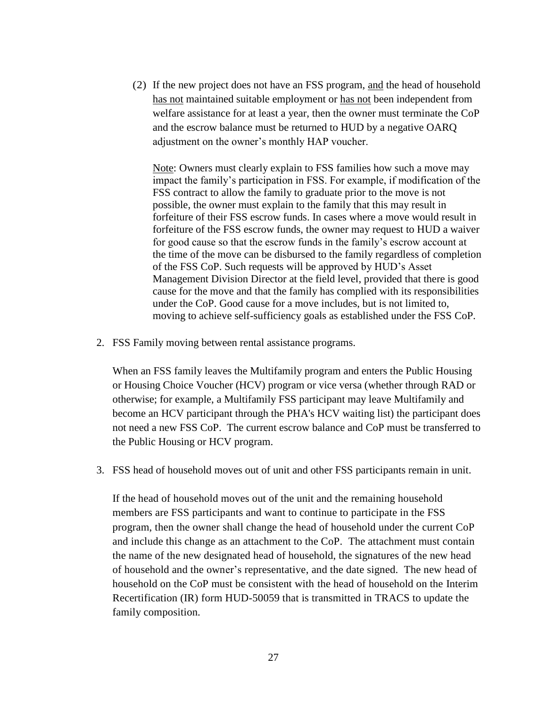(2) If the new project does not have an FSS program, and the head of household has not maintained suitable employment or has not been independent from welfare assistance for at least a year, then the owner must terminate the CoP and the escrow balance must be returned to HUD by a negative OARQ adjustment on the owner's monthly HAP voucher.

Note: Owners must clearly explain to FSS families how such a move may impact the family's participation in FSS. For example, if modification of the FSS contract to allow the family to graduate prior to the move is not possible, the owner must explain to the family that this may result in forfeiture of their FSS escrow funds. In cases where a move would result in forfeiture of the FSS escrow funds, the owner may request to HUD a waiver for good cause so that the escrow funds in the family's escrow account at the time of the move can be disbursed to the family regardless of completion of the FSS CoP. Such requests will be approved by HUD's Asset Management Division Director at the field level, provided that there is good cause for the move and that the family has complied with its responsibilities under the CoP. Good cause for a move includes, but is not limited to, moving to achieve self-sufficiency goals as established under the FSS CoP.

2. FSS Family moving between rental assistance programs.

When an FSS family leaves the Multifamily program and enters the Public Housing or Housing Choice Voucher (HCV) program or vice versa (whether through RAD or otherwise; for example, a Multifamily FSS participant may leave Multifamily and become an HCV participant through the PHA's HCV waiting list) the participant does not need a new FSS CoP. The current escrow balance and CoP must be transferred to the Public Housing or HCV program.

3. FSS head of household moves out of unit and other FSS participants remain in unit.

If the head of household moves out of the unit and the remaining household members are FSS participants and want to continue to participate in the FSS program, then the owner shall change the head of household under the current CoP and include this change as an attachment to the CoP. The attachment must contain the name of the new designated head of household, the signatures of the new head of household and the owner's representative, and the date signed. The new head of household on the CoP must be consistent with the head of household on the Interim Recertification (IR) form HUD-50059 that is transmitted in TRACS to update the family composition.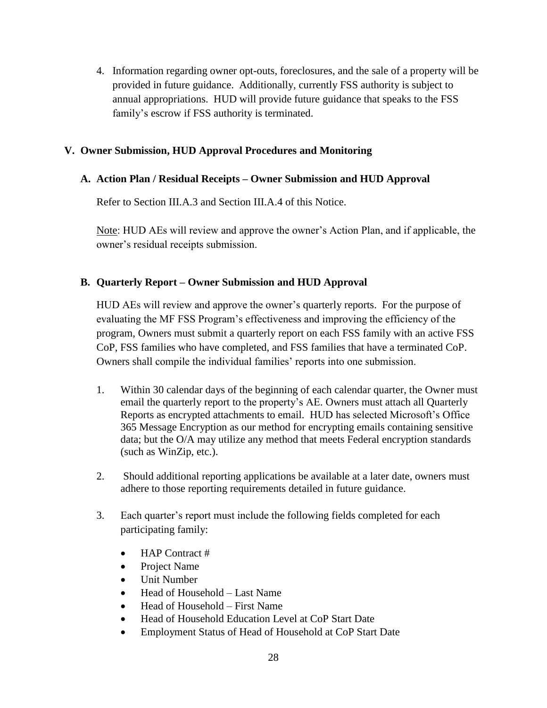4. Information regarding owner opt-outs, foreclosures, and the sale of a property will be provided in future guidance. Additionally, currently FSS authority is subject to annual appropriations. HUD will provide future guidance that speaks to the FSS family's escrow if FSS authority is terminated.

## **V. Owner Submission, HUD Approval Procedures and Monitoring**

## **A. Action Plan / Residual Receipts – Owner Submission and HUD Approval**

Refer to Section III.A.3 and Section III.A.4 of this Notice.

Note: HUD AEs will review and approve the owner's Action Plan, and if applicable, the owner's residual receipts submission.

## **B. Quarterly Report – Owner Submission and HUD Approval**

HUD AEs will review and approve the owner's quarterly reports. For the purpose of evaluating the MF FSS Program's effectiveness and improving the efficiency of the program, Owners must submit a quarterly report on each FSS family with an active FSS CoP, FSS families who have completed, and FSS families that have a terminated CoP. Owners shall compile the individual families' reports into one submission.

- 1. Within 30 calendar days of the beginning of each calendar quarter, the Owner must email the quarterly report to the property's AE. Owners must attach all Quarterly Reports as encrypted attachments to email. HUD has selected Microsoft's Office 365 Message Encryption as our method for encrypting emails containing sensitive data; but the O/A may utilize any method that meets Federal encryption standards (such as WinZip, etc.).
- 2. Should additional reporting applications be available at a later date, owners must adhere to those reporting requirements detailed in future guidance.
- 3. Each quarter's report must include the following fields completed for each participating family:
	- HAP Contract #
	- Project Name
	- Unit Number
	- Head of Household Last Name
	- Head of Household First Name
	- Head of Household Education Level at CoP Start Date
	- Employment Status of Head of Household at CoP Start Date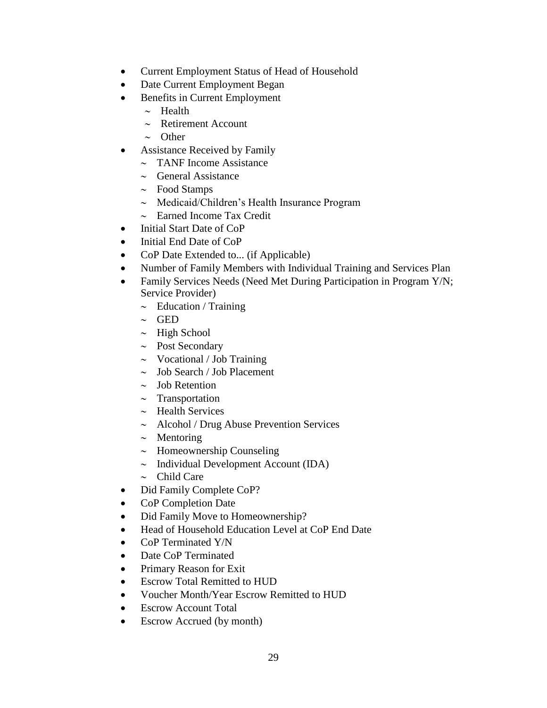- Current Employment Status of Head of Household
- Date Current Employment Began
- Benefits in Current Employment
	- $\sim$  Health
	- $\sim$  Retirement Account
	- $\sim$  Other
- Assistance Received by Family
	- $\sim$  TANF Income Assistance
	- $\sim$  General Assistance
	- $\sim$  Food Stamps
	- $\sim$  Medicaid/Children's Health Insurance Program
	- $\sim$  Earned Income Tax Credit
- Initial Start Date of CoP
- Initial End Date of CoP
- CoP Date Extended to... (if Applicable)
- Number of Family Members with Individual Training and Services Plan
- Family Services Needs (Need Met During Participation in Program Y/N; Service Provider)
	- $\sim$  Education / Training
	- $\sim$  GED
	- $\sim$  High School
	- $\sim$  Post Secondary
	- $\sim$  Vocational / Job Training
	- $\sim$  Job Search / Job Placement
	- $\sim$  Job Retention
	- $\sim$  Transportation
	- $\sim$  Health Services
	- $\sim$  Alcohol / Drug Abuse Prevention Services
	- $\sim$  Mentoring
	- $\sim$  Homeownership Counseling
	- $\sim$  Individual Development Account (IDA)
	- $\sim$  Child Care
- Did Family Complete CoP?
- CoP Completion Date
- Did Family Move to Homeownership?
- Head of Household Education Level at CoP End Date
- CoP Terminated Y/N
- Date CoP Terminated
- Primary Reason for Exit
- Escrow Total Remitted to HUD
- Voucher Month/Year Escrow Remitted to HUD
- Escrow Account Total
- Escrow Accrued (by month)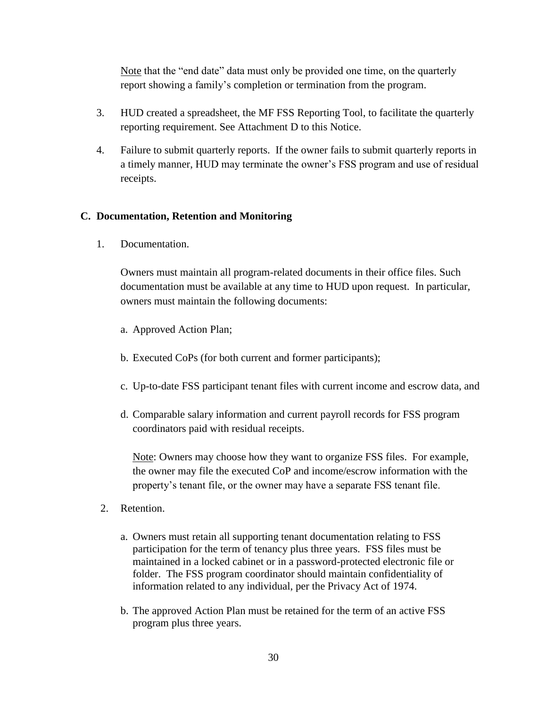Note that the "end date" data must only be provided one time, on the quarterly report showing a family's completion or termination from the program.

- 3. HUD created a spreadsheet, the MF FSS Reporting Tool, to facilitate the quarterly reporting requirement. See Attachment D to this Notice.
- 4. Failure to submit quarterly reports. If the owner fails to submit quarterly reports in a timely manner, HUD may terminate the owner's FSS program and use of residual receipts.

## **C. Documentation, Retention and Monitoring**

1. Documentation.

Owners must maintain all program-related documents in their office files. Such documentation must be available at any time to HUD upon request. In particular, owners must maintain the following documents:

- a. Approved Action Plan;
- b. Executed CoPs (for both current and former participants);
- c. Up-to-date FSS participant tenant files with current income and escrow data, and
- d. Comparable salary information and current payroll records for FSS program coordinators paid with residual receipts.

Note: Owners may choose how they want to organize FSS files. For example, the owner may file the executed CoP and income/escrow information with the property's tenant file, or the owner may have a separate FSS tenant file.

- 2. Retention.
	- a. Owners must retain all supporting tenant documentation relating to FSS participation for the term of tenancy plus three years. FSS files must be maintained in a locked cabinet or in a password-protected electronic file or folder. The FSS program coordinator should maintain confidentiality of information related to any individual, per the Privacy Act of 1974.
	- b. The approved Action Plan must be retained for the term of an active FSS program plus three years.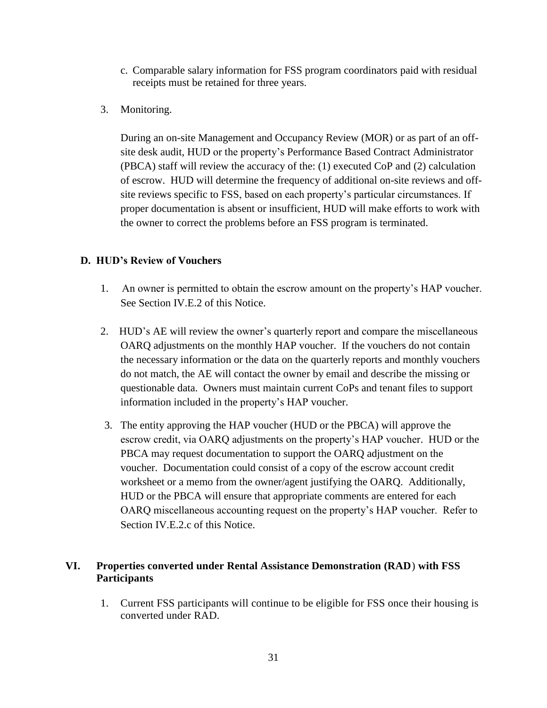- c. Comparable salary information for FSS program coordinators paid with residual receipts must be retained for three years.
- 3. Monitoring.

During an on-site Management and Occupancy Review (MOR) or as part of an offsite desk audit, HUD or the property's Performance Based Contract Administrator (PBCA) staff will review the accuracy of the: (1) executed CoP and (2) calculation of escrow. HUD will determine the frequency of additional on-site reviews and offsite reviews specific to FSS, based on each property's particular circumstances. If proper documentation is absent or insufficient, HUD will make efforts to work with the owner to correct the problems before an FSS program is terminated.

# **D. HUD's Review of Vouchers**

- 1. An owner is permitted to obtain the escrow amount on the property's HAP voucher. See Section IV.E.2 of this Notice.
- 2. HUD's AE will review the owner's quarterly report and compare the miscellaneous OARQ adjustments on the monthly HAP voucher. If the vouchers do not contain the necessary information or the data on the quarterly reports and monthly vouchers do not match, the AE will contact the owner by email and describe the missing or questionable data. Owners must maintain current CoPs and tenant files to support information included in the property's HAP voucher.
- 3. The entity approving the HAP voucher (HUD or the PBCA) will approve the escrow credit, via OARQ adjustments on the property's HAP voucher. HUD or the PBCA may request documentation to support the OARQ adjustment on the voucher. Documentation could consist of a copy of the escrow account credit worksheet or a memo from the owner/agent justifying the OARQ. Additionally, HUD or the PBCA will ensure that appropriate comments are entered for each OARQ miscellaneous accounting request on the property's HAP voucher. Refer to Section IV.E.2.c of this Notice.

## **VI. Properties converted under Rental Assistance Demonstration (RAD**) **with FSS Participants**

1. Current FSS participants will continue to be eligible for FSS once their housing is converted under RAD.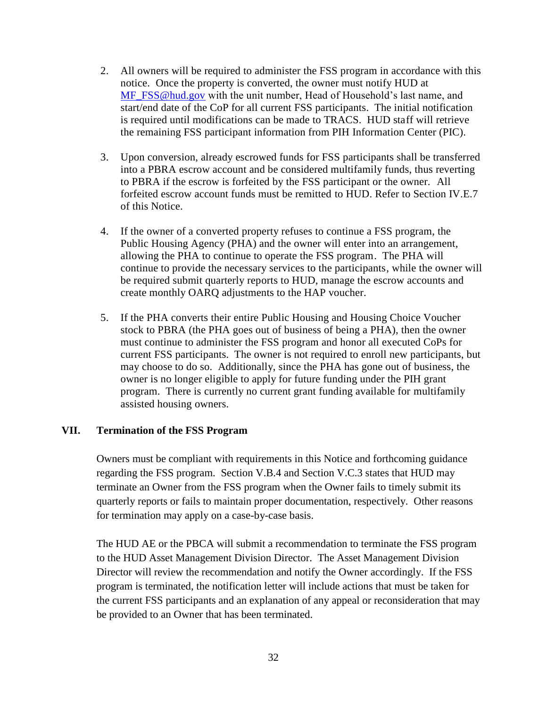- 2. All owners will be required to administer the FSS program in accordance with this notice. Once the property is converted, the owner must notify HUD at [MF\\_FSS@hud.gov](mailto:MF_FSS@hud.gov) with the unit number, Head of Household's last name, and start/end date of the CoP for all current FSS participants. The initial notification is required until modifications can be made to TRACS. HUD staff will retrieve the remaining FSS participant information from PIH Information Center (PIC).
- 3. Upon conversion, already escrowed funds for FSS participants shall be transferred into a PBRA escrow account and be considered multifamily funds, thus reverting to PBRA if the escrow is forfeited by the FSS participant or the owner. All forfeited escrow account funds must be remitted to HUD. Refer to Section IV.E.7 of this Notice.
- 4. If the owner of a converted property refuses to continue a FSS program, the Public Housing Agency (PHA) and the owner will enter into an arrangement, allowing the PHA to continue to operate the FSS program. The PHA will continue to provide the necessary services to the participants, while the owner will be required submit quarterly reports to HUD, manage the escrow accounts and create monthly OARQ adjustments to the HAP voucher.
- 5. If the PHA converts their entire Public Housing and Housing Choice Voucher stock to PBRA (the PHA goes out of business of being a PHA), then the owner must continue to administer the FSS program and honor all executed CoPs for current FSS participants. The owner is not required to enroll new participants, but may choose to do so. Additionally, since the PHA has gone out of business, the owner is no longer eligible to apply for future funding under the PIH grant program. There is currently no current grant funding available for multifamily assisted housing owners.

### **VII. Termination of the FSS Program**

Owners must be compliant with requirements in this Notice and forthcoming guidance regarding the FSS program. Section V.B.4 and Section V.C.3 states that HUD may terminate an Owner from the FSS program when the Owner fails to timely submit its quarterly reports or fails to maintain proper documentation, respectively. Other reasons for termination may apply on a case-by-case basis.

The HUD AE or the PBCA will submit a recommendation to terminate the FSS program to the HUD Asset Management Division Director. The Asset Management Division Director will review the recommendation and notify the Owner accordingly. If the FSS program is terminated, the notification letter will include actions that must be taken for the current FSS participants and an explanation of any appeal or reconsideration that may be provided to an Owner that has been terminated.